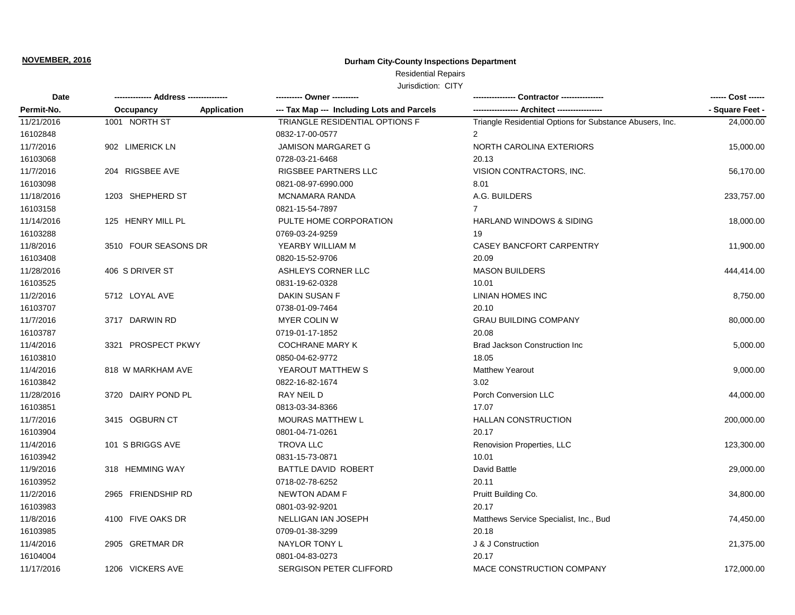# **Durham City-County Inspections Department**

Residential Repairs

| Date       |                                 |                                            | <b>Contractor</b> ----------------                       | ------ Cost ------ |
|------------|---------------------------------|--------------------------------------------|----------------------------------------------------------|--------------------|
| Permit-No. | <b>Application</b><br>Occupancy | --- Tax Map --- Including Lots and Parcels | - Architect ----------------                             | - Square Feet -    |
| 11/21/2016 | 1001 NORTH ST                   | <b>TRIANGLE RESIDENTIAL OPTIONS F</b>      | Triangle Residential Options for Substance Abusers, Inc. | 24,000.00          |
| 16102848   |                                 | 0832-17-00-0577                            | 2                                                        |                    |
| 11/7/2016  | 902 LIMERICK LN                 | <b>JAMISON MARGARET G</b>                  | NORTH CAROLINA EXTERIORS                                 | 15,000.00          |
| 16103068   |                                 | 0728-03-21-6468                            | 20.13                                                    |                    |
| 11/7/2016  | 204 RIGSBEE AVE                 | RIGSBEE PARTNERS LLC                       | VISION CONTRACTORS, INC.                                 | 56,170.00          |
| 16103098   |                                 | 0821-08-97-6990.000                        | 8.01                                                     |                    |
| 11/18/2016 | 1203 SHEPHERD ST                | <b>MCNAMARA RANDA</b>                      | A.G. BUILDERS                                            | 233,757.00         |
| 16103158   |                                 | 0821-15-54-7897                            | $\overline{7}$                                           |                    |
| 11/14/2016 | 125 HENRY MILL PL               | PULTE HOME CORPORATION                     | <b>HARLAND WINDOWS &amp; SIDING</b>                      | 18,000.00          |
| 16103288   |                                 | 0769-03-24-9259                            | 19                                                       |                    |
| 11/8/2016  | 3510 FOUR SEASONS DR            | YEARBY WILLIAM M                           | CASEY BANCFORT CARPENTRY                                 | 11,900.00          |
| 16103408   |                                 | 0820-15-52-9706                            | 20.09                                                    |                    |
| 11/28/2016 | 406 S DRIVER ST                 | ASHLEYS CORNER LLC                         | <b>MASON BUILDERS</b>                                    | 444,414.00         |
| 16103525   |                                 | 0831-19-62-0328                            | 10.01                                                    |                    |
| 11/2/2016  | 5712 LOYAL AVE                  | DAKIN SUSAN F                              | LINIAN HOMES INC                                         | 8,750.00           |
| 16103707   |                                 | 0738-01-09-7464                            | 20.10                                                    |                    |
| 11/7/2016  | 3717 DARWIN RD                  | MYER COLIN W                               | <b>GRAU BUILDING COMPANY</b>                             | 80,000.00          |
| 16103787   |                                 | 0719-01-17-1852                            | 20.08                                                    |                    |
| 11/4/2016  | 3321 PROSPECT PKWY              | <b>COCHRANE MARY K</b>                     | <b>Brad Jackson Construction Inc.</b>                    | 5,000.00           |
| 16103810   |                                 | 0850-04-62-9772                            | 18.05                                                    |                    |
| 11/4/2016  | 818 W MARKHAM AVE               | YEAROUT MATTHEW S                          | <b>Matthew Yearout</b>                                   | 9,000.00           |
| 16103842   |                                 | 0822-16-82-1674                            | 3.02                                                     |                    |
| 11/28/2016 | 3720 DAIRY POND PL              | RAY NEIL D                                 | Porch Conversion LLC                                     | 44,000.00          |
| 16103851   |                                 | 0813-03-34-8366                            | 17.07                                                    |                    |
| 11/7/2016  | 3415 OGBURN CT                  | <b>MOURAS MATTHEW L</b>                    | <b>HALLAN CONSTRUCTION</b>                               | 200,000.00         |
| 16103904   |                                 | 0801-04-71-0261                            | 20.17                                                    |                    |
| 11/4/2016  | 101 S BRIGGS AVE                | <b>TROVA LLC</b>                           | Renovision Properties, LLC                               | 123,300.00         |
| 16103942   |                                 | 0831-15-73-0871                            | 10.01                                                    |                    |
| 11/9/2016  | 318 HEMMING WAY                 | BATTLE DAVID ROBERT                        | David Battle                                             | 29,000.00          |
| 16103952   |                                 | 0718-02-78-6252                            | 20.11                                                    |                    |
| 11/2/2016  | 2965 FRIENDSHIP RD              | <b>NEWTON ADAM F</b>                       | Pruitt Building Co.                                      | 34,800.00          |
| 16103983   |                                 | 0801-03-92-9201                            | 20.17                                                    |                    |
| 11/8/2016  | 4100 FIVE OAKS DR               | NELLIGAN IAN JOSEPH                        | Matthews Service Specialist, Inc., Bud                   | 74,450.00          |
| 16103985   |                                 | 0709-01-38-3299                            | 20.18                                                    |                    |
| 11/4/2016  | 2905 GRETMAR DR                 | NAYLOR TONY L                              | J & J Construction                                       | 21,375.00          |
| 16104004   |                                 | 0801-04-83-0273                            | 20.17                                                    |                    |
| 11/17/2016 | 1206 VICKERS AVE                | SERGISON PETER CLIFFORD                    | MACE CONSTRUCTION COMPANY                                | 172.000.00         |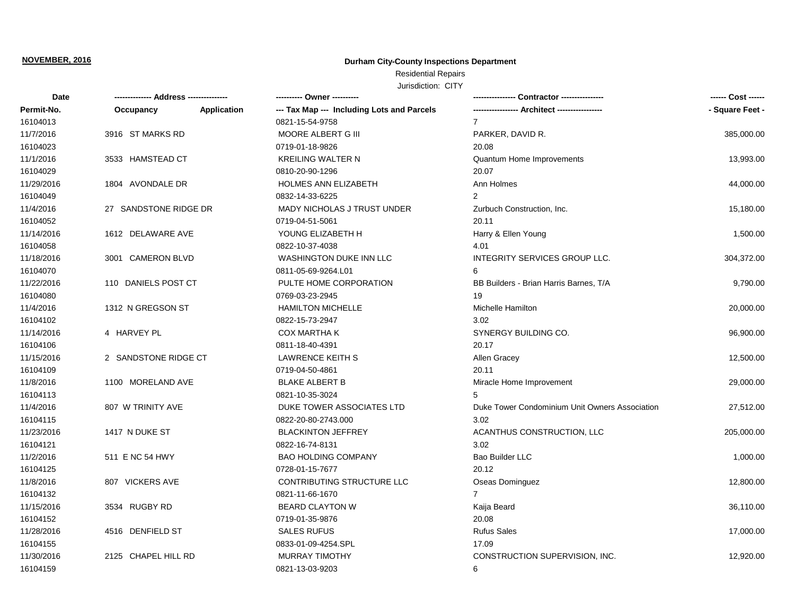# **Durham City-County Inspections Department**

Residential Repairs

| Date       |                       |                    | ---------- Owner ----------                | Contractor ----------------                    |                 |
|------------|-----------------------|--------------------|--------------------------------------------|------------------------------------------------|-----------------|
| Permit-No. | Occupancy             | <b>Application</b> | --- Tax Map --- Including Lots and Parcels |                                                | - Square Feet - |
| 16104013   |                       |                    | 0821-15-54-9758                            | $\overline{7}$                                 |                 |
| 11/7/2016  | 3916 ST MARKS RD      |                    | MOORE ALBERT G III                         | PARKER, DAVID R.                               | 385,000.00      |
| 16104023   |                       |                    | 0719-01-18-9826                            | 20.08                                          |                 |
| 11/1/2016  | 3533 HAMSTEAD CT      |                    | <b>KREILING WALTER N</b>                   | Quantum Home Improvements                      | 13,993.00       |
| 16104029   |                       |                    | 0810-20-90-1296                            | 20.07                                          |                 |
| 11/29/2016 | 1804 AVONDALE DR      |                    | HOLMES ANN ELIZABETH                       | Ann Holmes                                     | 44,000.00       |
| 16104049   |                       |                    | 0832-14-33-6225                            | $\overline{2}$                                 |                 |
| 11/4/2016  | 27 SANDSTONE RIDGE DR |                    | <b>MADY NICHOLAS J TRUST UNDER</b>         | Zurbuch Construction, Inc.                     | 15,180.00       |
| 16104052   |                       |                    | 0719-04-51-5061                            | 20.11                                          |                 |
| 11/14/2016 | 1612 DELAWARE AVE     |                    | YOUNG ELIZABETH H                          | Harry & Ellen Young                            | 1,500.00        |
| 16104058   |                       |                    | 0822-10-37-4038                            | 4.01                                           |                 |
| 11/18/2016 | 3001 CAMERON BLVD     |                    | <b>WASHINGTON DUKE INN LLC</b>             | INTEGRITY SERVICES GROUP LLC.                  | 304,372.00      |
| 16104070   |                       |                    | 0811-05-69-9264.L01                        | 6                                              |                 |
| 11/22/2016 | 110 DANIELS POST CT   |                    | PULTE HOME CORPORATION                     | BB Builders - Brian Harris Barnes, T/A         | 9,790.00        |
| 16104080   |                       |                    | 0769-03-23-2945                            | 19                                             |                 |
| 11/4/2016  | 1312 N GREGSON ST     |                    | <b>HAMILTON MICHELLE</b>                   | <b>Michelle Hamilton</b>                       | 20,000.00       |
| 16104102   |                       |                    | 0822-15-73-2947                            | 3.02                                           |                 |
| 11/14/2016 | 4 HARVEY PL           |                    | <b>COX MARTHA K</b>                        | SYNERGY BUILDING CO.                           | 96,900.00       |
| 16104106   |                       |                    | 0811-18-40-4391                            | 20.17                                          |                 |
| 11/15/2016 | 2 SANDSTONE RIDGE CT  |                    | <b>LAWRENCE KEITH S</b>                    | Allen Gracey                                   | 12,500.00       |
| 16104109   |                       |                    | 0719-04-50-4861                            | 20.11                                          |                 |
| 11/8/2016  | 1100 MORELAND AVE     |                    | <b>BLAKE ALBERT B</b>                      | Miracle Home Improvement                       | 29,000.00       |
| 16104113   |                       |                    | 0821-10-35-3024                            |                                                |                 |
| 11/4/2016  | 807 W TRINITY AVE     |                    | DUKE TOWER ASSOCIATES LTD                  | Duke Tower Condominium Unit Owners Association | 27,512.00       |
| 16104115   |                       |                    | 0822-20-80-2743.000                        | 3.02                                           |                 |
| 11/23/2016 | 1417 N DUKE ST        |                    | <b>BLACKINTON JEFFREY</b>                  | ACANTHUS CONSTRUCTION, LLC                     | 205,000.00      |
| 16104121   |                       |                    | 0822-16-74-8131                            | 3.02                                           |                 |
| 11/2/2016  | 511 E NC 54 HWY       |                    | <b>BAO HOLDING COMPANY</b>                 | Bao Builder LLC                                | 1,000.00        |
| 16104125   |                       |                    | 0728-01-15-7677                            | 20.12                                          |                 |
| 11/8/2016  | 807 VICKERS AVE       |                    | CONTRIBUTING STRUCTURE LLC                 | Oseas Dominguez                                | 12,800.00       |
| 16104132   |                       |                    | 0821-11-66-1670                            | $\overline{7}$                                 |                 |
| 11/15/2016 | 3534 RUGBY RD         |                    | <b>BEARD CLAYTON W</b>                     | Kaija Beard                                    | 36,110.00       |
| 16104152   |                       |                    | 0719-01-35-9876                            | 20.08                                          |                 |
| 11/28/2016 | 4516 DENFIELD ST      |                    | <b>SALES RUFUS</b>                         | <b>Rufus Sales</b>                             | 17,000.00       |
| 16104155   |                       |                    | 0833-01-09-4254.SPL                        | 17.09                                          |                 |
| 11/30/2016 | 2125 CHAPEL HILL RD   |                    | <b>MURRAY TIMOTHY</b>                      | CONSTRUCTION SUPERVISION, INC.                 | 12,920.00       |
| 16104159   |                       |                    | 0821-13-03-9203                            | 6                                              |                 |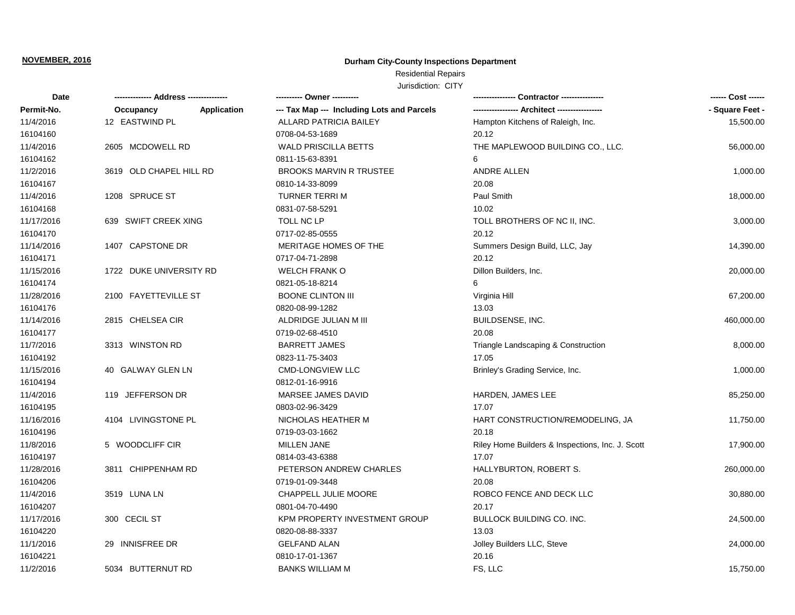## **Durham City-County Inspections Department**

# Residential Repairs

| Date       |                         |                    | ---------- Owner ----------                |                                                  | ------ Cost ------ |
|------------|-------------------------|--------------------|--------------------------------------------|--------------------------------------------------|--------------------|
| Permit-No. | Occupancy               | <b>Application</b> | --- Tax Map --- Including Lots and Parcels |                                                  | - Square Feet -    |
| 11/4/2016  | 12 EASTWIND PL          |                    | <b>ALLARD PATRICIA BAILEY</b>              | Hampton Kitchens of Raleigh, Inc.                | 15,500.00          |
| 16104160   |                         |                    | 0708-04-53-1689                            | 20.12                                            |                    |
| 11/4/2016  | 2605 MCDOWELL RD        |                    | <b>WALD PRISCILLA BETTS</b>                | THE MAPLEWOOD BUILDING CO., LLC.                 | 56,000.00          |
| 16104162   |                         |                    | 0811-15-63-8391                            | 6                                                |                    |
| 11/2/2016  | 3619 OLD CHAPEL HILL RD |                    | <b>BROOKS MARVIN R TRUSTEE</b>             | <b>ANDRE ALLEN</b>                               | 1,000.00           |
| 16104167   |                         |                    | 0810-14-33-8099                            | 20.08                                            |                    |
| 11/4/2016  | 1208 SPRUCE ST          |                    | <b>TURNER TERRIM</b>                       | Paul Smith                                       | 18,000.00          |
| 16104168   |                         |                    | 0831-07-58-5291                            | 10.02                                            |                    |
| 11/17/2016 | 639 SWIFT CREEK XING    |                    | TOLL NC LP                                 | TOLL BROTHERS OF NC II, INC.                     | 3,000.00           |
| 16104170   |                         |                    | 0717-02-85-0555                            | 20.12                                            |                    |
| 11/14/2016 | 1407 CAPSTONE DR        |                    | MERITAGE HOMES OF THE                      | Summers Design Build, LLC, Jay                   | 14,390.00          |
| 16104171   |                         |                    | 0717-04-71-2898                            | 20.12                                            |                    |
| 11/15/2016 | 1722 DUKE UNIVERSITY RD |                    | <b>WELCH FRANK O</b>                       | Dillon Builders, Inc.                            | 20,000.00          |
| 16104174   |                         |                    | 0821-05-18-8214                            | 6                                                |                    |
| 11/28/2016 | 2100 FAYETTEVILLE ST    |                    | <b>BOONE CLINTON III</b>                   | Virginia Hill                                    | 67,200.00          |
| 16104176   |                         |                    | 0820-08-99-1282                            | 13.03                                            |                    |
| 11/14/2016 | 2815 CHELSEA CIR        |                    | ALDRIDGE JULIAN M III                      | BUILDSENSE, INC.                                 | 460,000.00         |
| 16104177   |                         |                    | 0719-02-68-4510                            | 20.08                                            |                    |
| 11/7/2016  | 3313 WINSTON RD         |                    | <b>BARRETT JAMES</b>                       | Triangle Landscaping & Construction              | 8,000.00           |
| 16104192   |                         |                    | 0823-11-75-3403                            | 17.05                                            |                    |
| 11/15/2016 | 40 GALWAY GLEN LN       |                    | <b>CMD-LONGVIEW LLC</b>                    | Brinley's Grading Service, Inc.                  | 1,000.00           |
| 16104194   |                         |                    | 0812-01-16-9916                            |                                                  |                    |
| 11/4/2016  | 119 JEFFERSON DR        |                    | MARSEE JAMES DAVID                         | HARDEN, JAMES LEE                                | 85,250.00          |
| 16104195   |                         |                    | 0803-02-96-3429                            | 17.07                                            |                    |
| 11/16/2016 | 4104 LIVINGSTONE PL     |                    | NICHOLAS HEATHER M                         | HART CONSTRUCTION/REMODELING, JA                 | 11,750.00          |
| 16104196   |                         |                    | 0719-03-03-1662                            | 20.18                                            |                    |
| 11/8/2016  | 5 WOODCLIFF CIR         |                    | <b>MILLEN JANE</b>                         | Riley Home Builders & Inspections, Inc. J. Scott | 17,900.00          |
| 16104197   |                         |                    | 0814-03-43-6388                            | 17.07                                            |                    |
| 11/28/2016 | 3811 CHIPPENHAM RD      |                    | PETERSON ANDREW CHARLES                    | <b>HALLYBURTON, ROBERT S.</b>                    | 260,000.00         |
| 16104206   |                         |                    | 0719-01-09-3448                            | 20.08                                            |                    |
| 11/4/2016  | 3519 LUNA LN            |                    | CHAPPELL JULIE MOORE                       | ROBCO FENCE AND DECK LLC                         | 30,880.00          |
| 16104207   |                         |                    | 0801-04-70-4490                            | 20.17                                            |                    |
| 11/17/2016 | 300 CECIL ST            |                    | KPM PROPERTY INVESTMENT GROUP              | <b>BULLOCK BUILDING CO. INC.</b>                 | 24,500.00          |
| 16104220   |                         |                    | 0820-08-88-3337                            | 13.03                                            |                    |
| 11/1/2016  | 29 INNISFREE DR         |                    | <b>GELFAND ALAN</b>                        | Jolley Builders LLC, Steve                       | 24,000.00          |
| 16104221   |                         |                    | 0810-17-01-1367                            | 20.16                                            |                    |
| 11/2/2016  | 5034 BUTTERNUT RD       |                    | <b>BANKS WILLIAM M</b>                     | FS, LLC                                          | 15,750.00          |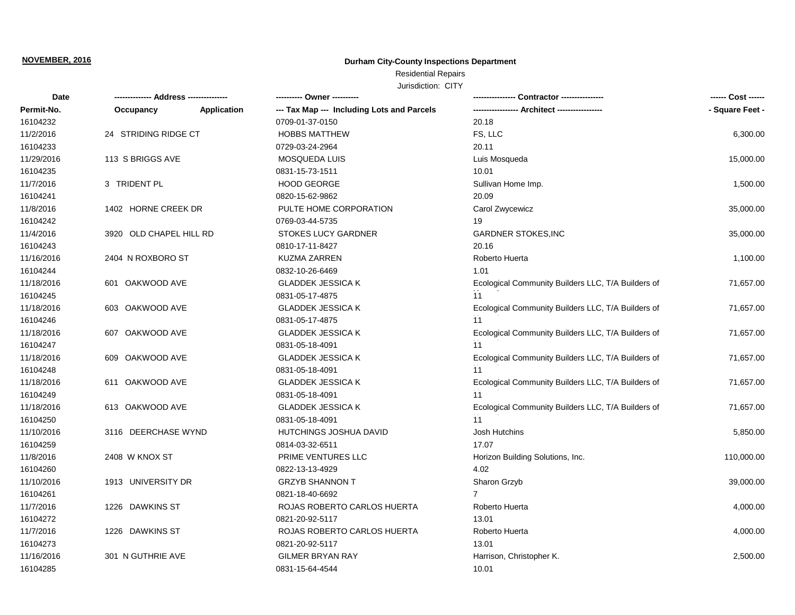## **Durham City-County Inspections Department**

Residential Repairs

| <b>Date</b> |                         |                    |                                            |                                                    |                 |
|-------------|-------------------------|--------------------|--------------------------------------------|----------------------------------------------------|-----------------|
| Permit-No.  | Occupancy               | <b>Application</b> | --- Tax Map --- Including Lots and Parcels | --- Architect ------------                         | - Square Feet - |
| 16104232    |                         |                    | 0709-01-37-0150                            | 20.18                                              |                 |
| 11/2/2016   | 24 STRIDING RIDGE CT    |                    | <b>HOBBS MATTHEW</b>                       | FS, LLC                                            | 6,300.00        |
| 16104233    |                         |                    | 0729-03-24-2964                            | 20.11                                              |                 |
| 11/29/2016  | 113 S BRIGGS AVE        |                    | <b>MOSQUEDA LUIS</b>                       | Luis Mosqueda                                      | 15,000.00       |
| 16104235    |                         |                    | 0831-15-73-1511                            | 10.01                                              |                 |
| 11/7/2016   | 3 TRIDENT PL            |                    | <b>HOOD GEORGE</b>                         | Sullivan Home Imp.                                 | 1,500.00        |
| 16104241    |                         |                    | 0820-15-62-9862                            | 20.09                                              |                 |
| 11/8/2016   | 1402 HORNE CREEK DR     |                    | PULTE HOME CORPORATION                     | Carol Zwycewicz                                    | 35,000.00       |
| 16104242    |                         |                    | 0769-03-44-5735                            | 19                                                 |                 |
| 11/4/2016   | 3920 OLD CHAPEL HILL RD |                    | <b>STOKES LUCY GARDNER</b>                 | <b>GARDNER STOKES, INC</b>                         | 35,000.00       |
| 16104243    |                         |                    | 0810-17-11-8427                            | 20.16                                              |                 |
| 11/16/2016  | 2404 N ROXBORO ST       |                    | <b>KUZMA ZARREN</b>                        | Roberto Huerta                                     | 1,100.00        |
| 16104244    |                         |                    | 0832-10-26-6469                            | 1.01                                               |                 |
| 11/18/2016  | 601 OAKWOOD AVE         |                    | <b>GLADDEK JESSICA K</b>                   | Ecological Community Builders LLC, T/A Builders of | 71,657.00       |
| 16104245    |                         |                    | 0831-05-17-4875                            | 11                                                 |                 |
| 11/18/2016  | 603 OAKWOOD AVE         |                    | <b>GLADDEK JESSICA K</b>                   | Ecological Community Builders LLC, T/A Builders of | 71,657.00       |
| 16104246    |                         |                    | 0831-05-17-4875                            | 11                                                 |                 |
| 11/18/2016  | 607 OAKWOOD AVE         |                    | <b>GLADDEK JESSICA K</b>                   | Ecological Community Builders LLC, T/A Builders of | 71,657.00       |
| 16104247    |                         |                    | 0831-05-18-4091                            | 11                                                 |                 |
| 11/18/2016  | 609 OAKWOOD AVE         |                    | <b>GLADDEK JESSICA K</b>                   | Ecological Community Builders LLC, T/A Builders of | 71,657.00       |
| 16104248    |                         |                    | 0831-05-18-4091                            | 11                                                 |                 |
| 11/18/2016  | 611 OAKWOOD AVE         |                    | <b>GLADDEK JESSICA K</b>                   | Ecological Community Builders LLC, T/A Builders of | 71,657.00       |
| 16104249    |                         |                    | 0831-05-18-4091                            | 11                                                 |                 |
| 11/18/2016  | 613 OAKWOOD AVE         |                    | <b>GLADDEK JESSICA K</b>                   | Ecological Community Builders LLC, T/A Builders of | 71,657.00       |
| 16104250    |                         |                    | 0831-05-18-4091                            | 11                                                 |                 |
| 11/10/2016  | 3116 DEERCHASE WYND     |                    | HUTCHINGS JOSHUA DAVID                     | Josh Hutchins                                      | 5,850.00        |
| 16104259    |                         |                    | 0814-03-32-6511                            | 17.07                                              |                 |
| 11/8/2016   | 2408 W KNOX ST          |                    | PRIME VENTURES LLC                         | Horizon Building Solutions, Inc.                   | 110,000.00      |
| 16104260    |                         |                    | 0822-13-13-4929                            | 4.02                                               |                 |
| 11/10/2016  | 1913 UNIVERSITY DR      |                    | <b>GRZYB SHANNON T</b>                     | Sharon Grzyb                                       | 39,000.00       |
| 16104261    |                         |                    | 0821-18-40-6692                            | 7                                                  |                 |
| 11/7/2016   | 1226 DAWKINS ST         |                    | ROJAS ROBERTO CARLOS HUERTA                | Roberto Huerta                                     | 4,000.00        |
| 16104272    |                         |                    | 0821-20-92-5117                            | 13.01                                              |                 |
| 11/7/2016   | 1226 DAWKINS ST         |                    | ROJAS ROBERTO CARLOS HUERTA                | Roberto Huerta                                     | 4,000.00        |
| 16104273    |                         |                    | 0821-20-92-5117                            | 13.01                                              |                 |
| 11/16/2016  | 301 N GUTHRIE AVE       |                    | <b>GILMER BRYAN RAY</b>                    | Harrison, Christopher K.                           | 2,500.00        |
| 16104285    |                         |                    | 0831-15-64-4544                            | 10.01                                              |                 |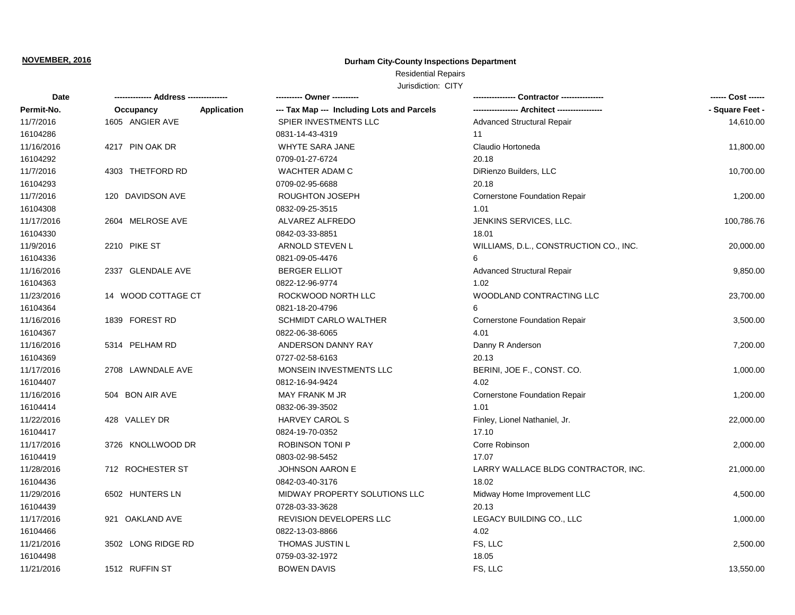## **Durham City-County Inspections Department**

# Residential Repairs

| Date       |                    |             | ---------- Owner ----------                | - Contractor ----------------          | ------ Cost ------ |
|------------|--------------------|-------------|--------------------------------------------|----------------------------------------|--------------------|
| Permit-No. | Occupancy          | Application | --- Tax Map --- Including Lots and Parcels | --- Architect --------------           | - Square Feet -    |
| 11/7/2016  | 1605 ANGIER AVE    |             | SPIER INVESTMENTS LLC                      | <b>Advanced Structural Repair</b>      | 14,610.00          |
| 16104286   |                    |             | 0831-14-43-4319                            | 11                                     |                    |
| 11/16/2016 | 4217 PIN OAK DR    |             | <b>WHYTE SARA JANE</b>                     | Claudio Hortoneda                      | 11,800.00          |
| 16104292   |                    |             | 0709-01-27-6724                            | 20.18                                  |                    |
| 11/7/2016  | 4303 THETFORD RD   |             | <b>WACHTER ADAM C</b>                      | DiRienzo Builders, LLC                 | 10,700.00          |
| 16104293   |                    |             | 0709-02-95-6688                            | 20.18                                  |                    |
| 11/7/2016  | 120 DAVIDSON AVE   |             | <b>ROUGHTON JOSEPH</b>                     | <b>Cornerstone Foundation Repair</b>   | 1,200.00           |
| 16104308   |                    |             | 0832-09-25-3515                            | 1.01                                   |                    |
| 11/17/2016 | 2604 MELROSE AVE   |             | ALVAREZ ALFREDO                            | JENKINS SERVICES, LLC.                 | 100,786.76         |
| 16104330   |                    |             | 0842-03-33-8851                            | 18.01                                  |                    |
| 11/9/2016  | 2210 PIKE ST       |             | ARNOLD STEVEN L                            | WILLIAMS, D.L., CONSTRUCTION CO., INC. | 20,000.00          |
| 16104336   |                    |             | 0821-09-05-4476                            | 6                                      |                    |
| 11/16/2016 | 2337 GLENDALE AVE  |             | <b>BERGER ELLIOT</b>                       | <b>Advanced Structural Repair</b>      | 9,850.00           |
| 16104363   |                    |             | 0822-12-96-9774                            | 1.02                                   |                    |
| 11/23/2016 | 14 WOOD COTTAGE CT |             | ROCKWOOD NORTH LLC                         | WOODLAND CONTRACTING LLC               | 23,700.00          |
| 16104364   |                    |             | 0821-18-20-4796                            | 6                                      |                    |
| 11/16/2016 | 1839 FOREST RD     |             | <b>SCHMIDT CARLO WALTHER</b>               | <b>Cornerstone Foundation Repair</b>   | 3,500.00           |
| 16104367   |                    |             | 0822-06-38-6065                            | 4.01                                   |                    |
| 11/16/2016 | 5314 PELHAM RD     |             | ANDERSON DANNY RAY                         | Danny R Anderson                       | 7,200.00           |
| 16104369   |                    |             | 0727-02-58-6163                            | 20.13                                  |                    |
| 11/17/2016 | 2708 LAWNDALE AVE  |             | MONSEIN INVESTMENTS LLC                    | BERINI, JOE F., CONST. CO.             | 1,000.00           |
| 16104407   |                    |             | 0812-16-94-9424                            | 4.02                                   |                    |
| 11/16/2016 | 504 BON AIR AVE    |             | MAY FRANK M JR                             | <b>Cornerstone Foundation Repair</b>   | 1,200.00           |
| 16104414   |                    |             | 0832-06-39-3502                            | 1.01                                   |                    |
| 11/22/2016 | 428 VALLEY DR      |             | <b>HARVEY CAROL S</b>                      | Finley, Lionel Nathaniel, Jr.          | 22,000.00          |
| 16104417   |                    |             | 0824-19-70-0352                            | 17.10                                  |                    |
| 11/17/2016 | 3726 KNOLLWOOD DR  |             | <b>ROBINSON TONI P</b>                     | Corre Robinson                         | 2,000.00           |
| 16104419   |                    |             | 0803-02-98-5452                            | 17.07                                  |                    |
| 11/28/2016 | 712 ROCHESTER ST   |             | <b>JOHNSON AARON E</b>                     | LARRY WALLACE BLDG CONTRACTOR, INC.    | 21,000.00          |
| 16104436   |                    |             | 0842-03-40-3176                            | 18.02                                  |                    |
| 11/29/2016 | 6502 HUNTERS LN    |             | MIDWAY PROPERTY SOLUTIONS LLC              | Midway Home Improvement LLC            | 4,500.00           |
| 16104439   |                    |             | 0728-03-33-3628                            | 20.13                                  |                    |
| 11/17/2016 | 921 OAKLAND AVE    |             | REVISION DEVELOPERS LLC                    | LEGACY BUILDING CO., LLC               | 1,000.00           |
| 16104466   |                    |             | 0822-13-03-8866                            | 4.02                                   |                    |
| 11/21/2016 | 3502 LONG RIDGE RD |             | <b>THOMAS JUSTIN L</b>                     | FS, LLC                                | 2,500.00           |
| 16104498   |                    |             | 0759-03-32-1972                            | 18.05                                  |                    |
| 11/21/2016 | 1512 RUFFIN ST     |             | <b>BOWEN DAVIS</b>                         | FS, LLC                                | 13,550.00          |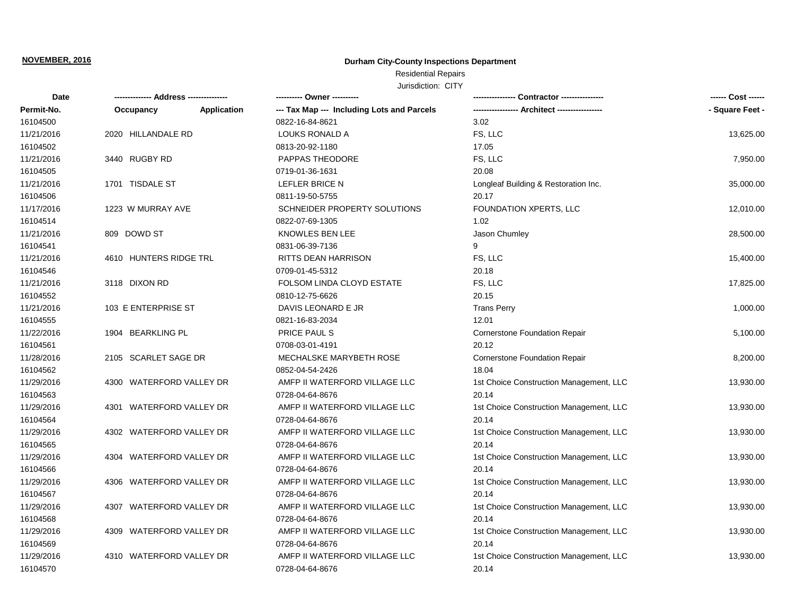## **Durham City-County Inspections Department**

# Residential Repairs

| Date       | ------------- Address --------------- |                    | ---------- Owner ----------                |                                         |                 |
|------------|---------------------------------------|--------------------|--------------------------------------------|-----------------------------------------|-----------------|
| Permit-No. | Occupancy                             | <b>Application</b> | --- Tax Map --- Including Lots and Parcels |                                         | - Square Feet - |
| 16104500   |                                       |                    | 0822-16-84-8621                            | 3.02                                    |                 |
| 11/21/2016 | 2020 HILLANDALE RD                    |                    | <b>LOUKS RONALD A</b>                      | FS, LLC                                 | 13,625.00       |
| 16104502   |                                       |                    | 0813-20-92-1180                            | 17.05                                   |                 |
| 11/21/2016 | 3440 RUGBY RD                         |                    | PAPPAS THEODORE                            | FS, LLC                                 | 7,950.00        |
| 16104505   |                                       |                    | 0719-01-36-1631                            | 20.08                                   |                 |
| 11/21/2016 | 1701 TISDALE ST                       |                    | LEFLER BRICE N                             | Longleaf Building & Restoration Inc.    | 35,000.00       |
| 16104506   |                                       |                    | 0811-19-50-5755                            | 20.17                                   |                 |
| 11/17/2016 | 1223 W MURRAY AVE                     |                    | SCHNEIDER PROPERTY SOLUTIONS               | FOUNDATION XPERTS, LLC                  | 12,010.00       |
| 16104514   |                                       |                    | 0822-07-69-1305                            | 1.02                                    |                 |
| 11/21/2016 | 809 DOWD ST                           |                    | <b>KNOWLES BEN LEE</b>                     | Jason Chumley                           | 28,500.00       |
| 16104541   |                                       |                    | 0831-06-39-7136                            | 9                                       |                 |
| 11/21/2016 | 4610 HUNTERS RIDGE TRL                |                    | RITTS DEAN HARRISON                        | FS, LLC                                 | 15,400.00       |
| 16104546   |                                       |                    | 0709-01-45-5312                            | 20.18                                   |                 |
| 11/21/2016 | 3118 DIXON RD                         |                    | FOLSOM LINDA CLOYD ESTATE                  | FS, LLC                                 | 17,825.00       |
| 16104552   |                                       |                    | 0810-12-75-6626                            | 20.15                                   |                 |
| 11/21/2016 | 103 E ENTERPRISE ST                   |                    | DAVIS LEONARD E JR                         | <b>Trans Perry</b>                      | 1,000.00        |
| 16104555   |                                       |                    | 0821-16-83-2034                            | 12.01                                   |                 |
| 11/22/2016 | 1904 BEARKLING PL                     |                    | PRICE PAUL S                               | Cornerstone Foundation Repair           | 5,100.00        |
| 16104561   |                                       |                    | 0708-03-01-4191                            | 20.12                                   |                 |
| 11/28/2016 | 2105 SCARLET SAGE DR                  |                    | MECHALSKE MARYBETH ROSE                    | <b>Cornerstone Foundation Repair</b>    | 8,200.00        |
| 16104562   |                                       |                    | 0852-04-54-2426                            | 18.04                                   |                 |
| 11/29/2016 | 4300 WATERFORD VALLEY DR              |                    | AMFP II WATERFORD VILLAGE LLC              | 1st Choice Construction Management, LLC | 13,930.00       |
| 16104563   |                                       |                    | 0728-04-64-8676                            | 20.14                                   |                 |
| 11/29/2016 | 4301 WATERFORD VALLEY DR              |                    | AMFP II WATERFORD VILLAGE LLC              | 1st Choice Construction Management, LLC | 13,930.00       |
| 16104564   |                                       |                    | 0728-04-64-8676                            | 20.14                                   |                 |
| 11/29/2016 | 4302 WATERFORD VALLEY DR              |                    | AMFP II WATERFORD VILLAGE LLC              | 1st Choice Construction Management, LLC | 13,930.00       |
| 16104565   |                                       |                    | 0728-04-64-8676                            | 20.14                                   |                 |
| 11/29/2016 | 4304 WATERFORD VALLEY DR              |                    | AMFP II WATERFORD VILLAGE LLC              | 1st Choice Construction Management, LLC | 13,930.00       |
| 16104566   |                                       |                    | 0728-04-64-8676                            | 20.14                                   |                 |
| 11/29/2016 | 4306 WATERFORD VALLEY DR              |                    | AMFP II WATERFORD VILLAGE LLC              | 1st Choice Construction Management, LLC | 13,930.00       |
| 16104567   |                                       |                    | 0728-04-64-8676                            | 20.14                                   |                 |
| 11/29/2016 | 4307 WATERFORD VALLEY DR              |                    | AMFP II WATERFORD VILLAGE LLC              | 1st Choice Construction Management, LLC | 13,930.00       |
| 16104568   |                                       |                    | 0728-04-64-8676                            | 20.14                                   |                 |
| 11/29/2016 | 4309 WATERFORD VALLEY DR              |                    | AMFP II WATERFORD VILLAGE LLC              | 1st Choice Construction Management, LLC | 13,930.00       |
| 16104569   |                                       |                    | 0728-04-64-8676                            | 20.14                                   |                 |
| 11/29/2016 | 4310 WATERFORD VALLEY DR              |                    | AMFP II WATERFORD VILLAGE LLC              | 1st Choice Construction Management, LLC | 13,930.00       |
| 16104570   |                                       |                    | 0728-04-64-8676                            | 20.14                                   |                 |